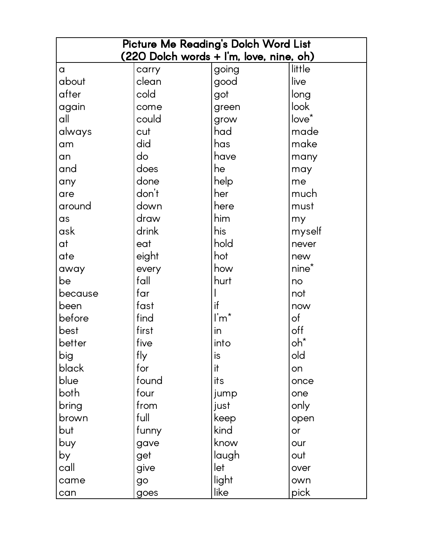| Picture Me Reading's Dolch Word List    |       |                           |                   |  |
|-----------------------------------------|-------|---------------------------|-------------------|--|
| (220 Dolch words + I'm, love, nine, oh) |       |                           |                   |  |
| $\alpha$                                | carry | going                     | little            |  |
| about                                   | clean | good                      | live              |  |
| after                                   | cold  | got                       | long              |  |
| again                                   | come  | green                     | look              |  |
| all                                     | could | grow                      | $love^*$          |  |
| always                                  | cut   | had                       | made              |  |
| am                                      | did   | has                       | make              |  |
| an                                      | do    | have                      | many              |  |
| and                                     | does  | he                        | may               |  |
| any                                     | done  | help                      | me                |  |
| are                                     | don't | her                       | much              |  |
| around                                  | down  | here                      | must              |  |
| as                                      | draw  | him                       | my                |  |
| ask                                     | drink | his                       | myself            |  |
| at                                      | eat   | hold                      | never             |  |
| ate                                     | eight | hot                       | new               |  |
| away                                    | every | how                       | nine <sup>*</sup> |  |
| be                                      | fall  | hurt                      | no                |  |
| because                                 | far   |                           | not               |  |
| been                                    | fast  | if                        | now               |  |
| before                                  | find  | $\mathsf{I}'\mathsf{m}^*$ | of                |  |
| best                                    | first | in                        | off               |  |
| better                                  | five  | into                      | oh*               |  |
| big                                     | fly   | is                        | old               |  |
| black                                   | for   | it                        | on                |  |
| blue                                    | found | its                       | once              |  |
| both                                    | four  | jump                      | one               |  |
| bring                                   | from  | just                      | only              |  |
| brown                                   | full  | keep                      | open              |  |
| but                                     | funny | kind                      | <b>or</b>         |  |
| buy                                     | gave  | know                      | our               |  |
| by                                      | get   | laugh                     | out               |  |
| call                                    | give  | let                       | over              |  |
| came                                    | go    | light                     | own               |  |
| can                                     | goes  | like                      | pick              |  |